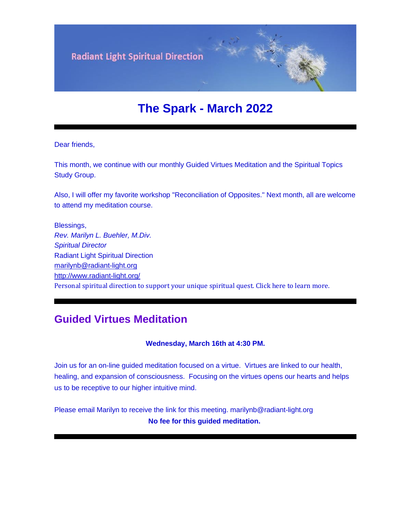**Radiant Light Spiritual Direction** 

# **The Spark - March 2022**

Dear friends,

This month, we continue with our monthly Guided Virtues Meditation and the Spiritual Topics Study Group.

Also, I will offer my favorite workshop "Reconciliation of Opposites." Next month, all are welcome to attend my meditation course.

Blessings, *Rev. Marilyn L. Buehler, M.Div. Spiritual Director* Radiant Light Spiritual Direction [marilynb@radiant-light.org](mailto:marilynb@radiant-light.org) [http://www.radiant-light.org/](https://u18544456.ct.sendgrid.net/ls/click?upn=R-2Bl7NGDLiuME3v4KUDXT9h2qnOPi-2Bv0NUDPOAvqgwbSGaV-2BAb3Xm4aVOKtH6HhU9m-2FTXOQwSXWi82XNXQXmW0Ybjzw6tS-2BT4DLdUHTzXugFWK15x1FY1bK6oAs60zDHaDwou_FiQrYGg1YZElR924caalGEP3AHGeF79ulf5jxC9Fbcd8IfoR4p2-2FW0xZvJaX6Y3z75H0Yw3uGmHJTH3azVPJ5HTXrZ-2Ft5OVM5Vv31JFvUf3sl-2Bt2VvZL3mo9-2FDK3jGCpz02iJXidFJBRlKk-2BS-2B-2FAy1Vv21AzkV4oj3pQVGdW1b-2FxBGs94NnhVsIVRl6HWQvxyB-2BE-2B8hwP3Boc9LCPiAw0D0kvPYRRa1C8L3-2FpE07EUqw2gqerdD4JNU91GzssnxxQNESMDWxFXEOD-2BemjWXq-2FEkme9iTS5x7Bf3DLuP8Aa-2FOubD-2F5hLDboHWehBDbpCJT1aphKXrhRz0V9-2FmCvLvgFz99rP8YDGHpza99vNGkd5CFDqgRJ6vM26IeRhzFMezLltyp-2B0sdm-2B2vtHiAW7jrTtCE7R9lnnUen2MF7kVusOVsHa6K8NJcE8nCLerkoOzoR9kL7wa1iZMeyQNxKcSr0Sz-2FoakfdWnLbpTQKB-2BfHl-2FwIIIUYbcRDW01ifcs-2FpxJUBXg3N-2Fgnz9gIXSkKLj8mthJ6AwNc70HA9sZy9anhLX4KwQUk-2FsnZnmiJcVocXlJTNPnDrN3r8Pk1l4VP8voYOT61drLUOw9V1Zw5lk7Uvz9yE2iN0tYnfuvSbvdZKXj7t-2FLMK7YbHm8cOWtsbkmhbDgXzw37QSbFGpaUCLD8iY1Lfiy-2BuinQEi-2Fa3B-2FaomnZROJztBILlaQZF1PaEW49ryzvdWlckFNzFZ8q1kLGCgEWwJJsmdeuuvfJYJ5DHnODS1YArub-2FHcK6HuRwRWHv2SyM6YmWfWem1fUqEFNJItSGYGa-2BoM3SCz-2Bh8xh6FMcrtB21zX1E7wOKnNXyFY8A-3D-3D) Personal spiritual direction to support your unique spiritual quest. Click here to learn more.

### **Guided Virtues Meditation**

**Wednesday, March 16th at 4:30 PM.**

Join us for an on-line guided meditation focused on a virtue. Virtues are linked to our health, healing, and expansion of consciousness. Focusing on the virtues opens our hearts and helps us to be receptive to our higher intuitive mind.

Please email Marilyn to receive the link for this meeting. marilynb@radiant-light.org **No fee for this guided meditation.**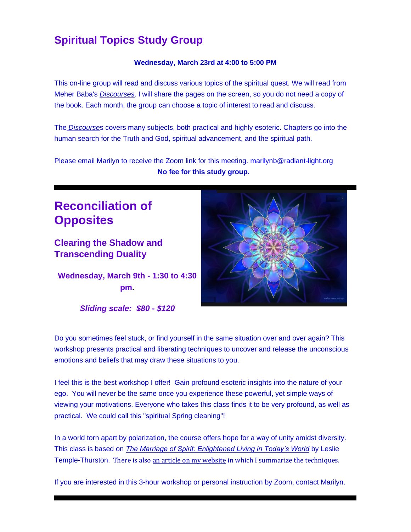## **Spiritual Topics Study Group**

#### **Wednesday, March 23rd at 4:00 to 5:00 PM**

This on-line group will read and discuss various topics of the spiritual quest. We will read from Meher Baba's *[Discourses](https://u18544456.ct.sendgrid.net/ls/click?upn=R-2Bl7NGDLiuME3v4KUDXT9tVzm1-2BNI-2BS3OrYkiYlRu7C2nw-2FGuui8nyc81QLa6BAYRSVt_FiQrYGg1YZElR924caalGEP3AHGeF79ulf5jxC9Fbcd8IfoR4p2-2FW0xZvJaX6Y3z75H0Yw3uGmHJTH3azVPJ5HTXrZ-2Ft5OVM5Vv31JFvUf3sl-2Bt2VvZL3mo9-2FDK3jGCpz02iJXidFJBRlKk-2BS-2B-2FAy1Vv21AzkV4oj3pQVGdW1b-2FxBGs94NnhVsIVRl6HWQvxyB-2BE-2B8hwP3Boc9LCPiAw0D0kvPYRRa1C8L3-2FpE07EUqw2gqerdD4JNU91GzssnxxQNESMDWxFXEOD-2BemjWXq-2FEkme9iTS5x7Bf3DLuP8Aa-2FOubD-2F5hLDboHWehBDbpCJT1aphKXrhRz0V9-2FmCvLvgFz99rP8YDGHpza99vNGkd5CFDqgRJ6vM26IeRhzFMezLltyp-2B0sdm-2B2vtHiAW7jrTtCE7R9lnnUen2MF7kVusOVsHa6K8NJcE8nCLerkoOzoR9kL7wa1iZMeyQNxKcSr0Sz-2FoakfdWnLbpTQKB-2BfHl-2FwIIIUYbcRDW01ifcs-2FpxJUBXg3N-2Fgnz9gIXSkKLj8mthJ6AwNc70HA9sZy9anhLX4KwQUk-2FsnZnmiJcVocXlJTNPnDrN3r8Pk1l4VP8voYOT61drLUOw9V1Zw5lk7Uvz9yE2iN0tYnfuvSbvdZKXj7t-2FLMK7YbHm8cOWtsbkmhbDgXzw37QSbFGpaUCLD8iY1Lfiy-2BuinQEi-2Fa3B-2Faom1LV1U1DEP1t-2BTJU31GbUaxalMPhvzFMB5Ojdp5W-2Fz7xv6YjKX-2BzTmat3z-2Fcz6PaNrXvY8ln5xFcT-2BuVV4VIft2G6Imgm1NjbYvK5El9DzisvjtLgWWVD9mkwAInm49uvhD8Dmi-2FNEUV4R9d-2BX0uSLw-3D-3D)*. I will share the pages on the screen, so you do not need a copy of the book. Each month, the group can choose a topic of interest to read and discuss.

The *[Discourse](https://u18544456.ct.sendgrid.net/ls/click?upn=R-2Bl7NGDLiuME3v4KUDXT9tVzm1-2BNI-2BS3OrYkiYlRu7C2nw-2FGuui8nyc81QLa6BAYZ1Ys_FiQrYGg1YZElR924caalGEP3AHGeF79ulf5jxC9Fbcd8IfoR4p2-2FW0xZvJaX6Y3z75H0Yw3uGmHJTH3azVPJ5HTXrZ-2Ft5OVM5Vv31JFvUf3sl-2Bt2VvZL3mo9-2FDK3jGCpz02iJXidFJBRlKk-2BS-2B-2FAy1Vv21AzkV4oj3pQVGdW1b-2FxBGs94NnhVsIVRl6HWQvxyB-2BE-2B8hwP3Boc9LCPiAw0D0kvPYRRa1C8L3-2FpE07EUqw2gqerdD4JNU91GzssnxxQNESMDWxFXEOD-2BemjWXq-2FEkme9iTS5x7Bf3DLuP8Aa-2FOubD-2F5hLDboHWehBDbpCJT1aphKXrhRz0V9-2FmCvLvgFz99rP8YDGHpza99vNGkd5CFDqgRJ6vM26IeRhzFMezLltyp-2B0sdm-2B2vtHiAW7jrTtCE7R9lnnUen2MF7kVusOVsHa6K8NJcE8nCLerkoOzoR9kL7wa1iZMeyQNxKcSr0Sz-2FoakfdWnLbpTQKB-2BfHl-2FwIIIUYbcRDW01ifcs-2FpxJUBXg3N-2Fgnz9gIXSkKLj8mthJ6AwNc70HA9sZy9anhLX4KwQUk-2FsnZnmiJcVocXlJTNPnDrN3r8Pk1l4VP8voYOT61drLUOw9V1Zw5lk7Uvz9yE2iN0tYnfuvSbvdZKXj7t-2FLMK7YbHm8cOWtsbkmhbDgXzw37QSbFGpaUCLD8iY1Lfiy-2BuinQEi-2Fa3B-2Faom6p3LalyQGRkXAqX6MWrTnhMZjqQmATt04ywJgK-2BzYwiAQmxyIX92Kylgf4DDDgaHwxLdOSxL6f7RGzGXxClRVnOpXKqCz6YP5AtKN4PPrYMISCAY0RdNwQqYxPmUEuYe74gCyWpECVKMhMvxmcuQrg-3D-3D)*s covers many subjects, both practical and highly esoteric. Chapters go into the human search for the Truth and God, spiritual advancement, and the spiritual path.

Please email Marilyn to receive the Zoom link for this meeting. [marilynb@radiant-light.org](mailto:marilynb@radiant-light.org) **No fee for this study group.**

# **Reconciliation of Opposites**

**Clearing the Shadow and Transcending Duality**

**Wednesday, March 9th - 1:30 to 4:30 pm.**

*Sliding scale: \$80 - \$120*



Do you sometimes feel stuck, or find yourself in the same situation over and over again? This workshop presents practical and liberating techniques to uncover and release the unconscious emotions and beliefs that may draw these situations to you.

I feel this is the best workshop I offer! Gain profound esoteric insights into the nature of your ego. You will never be the same once you experience these powerful, yet simple ways of viewing your motivations. Everyone who takes this class finds it to be very profound, as well as practical. We could call this "spiritual Spring cleaning"!

In a world torn apart by polarization, the course offers hope for a way of unity amidst diversity. This class is based on *[The Marriage of Spirit: Enlightened Living in Today's World](https://u18544456.ct.sendgrid.net/ls/click?upn=R-2Bl7NGDLiuME3v4KUDXT9s8V8aHwtcrfP-2FedTAKJSqNJbqcPGInuCiSPWrHPcugg0YWSMuCXwNtuckYMI-2F-2F0FA-3D-3DtFJ2_FiQrYGg1YZElR924caalGEP3AHGeF79ulf5jxC9Fbcd8IfoR4p2-2FW0xZvJaX6Y3z75H0Yw3uGmHJTH3azVPJ5HTXrZ-2Ft5OVM5Vv31JFvUf3sl-2Bt2VvZL3mo9-2FDK3jGCpz02iJXidFJBRlKk-2BS-2B-2FAy1Vv21AzkV4oj3pQVGdW1b-2FxBGs94NnhVsIVRl6HWQvxyB-2BE-2B8hwP3Boc9LCPiAw0D0kvPYRRa1C8L3-2FpE07EUqw2gqerdD4JNU91GzssnxxQNESMDWxFXEOD-2BemjWXq-2FEkme9iTS5x7Bf3DLuP8Aa-2FOubD-2F5hLDboHWehBDbpCJT1aphKXrhRz0V9-2FmCvLvgFz99rP8YDGHpza99vNGkd5CFDqgRJ6vM26IeRhzFMezLltyp-2B0sdm-2B2vtHiAW7jrTtCE7R9lnnUen2MF7kVusOVsHa6K8NJcE8nCLerkoOzoR9kL7wa1iZMeyQNxKcSr0Sz-2FoakfdWnLbpTQKB-2BfHl-2FwIIIUYbcRDW01ifcs-2FpxJUBXg3N-2Fgnz9gIXSkKLj8mthJ6AwNc70HA9sZy9anhLX4KwQUk-2FsnZnmiJcVocXlJTNPnDrN3r8Pk1l4VP8voYOT61drLUOw9V1Zw5lk7Uvz9yE2iN0tYnfuvSbvdZKXj7t-2FLMK7YbHm8cOWtsbkmhbDgXzw37QSbFGpaUCLD8iY1Lfiy-2BuinQEi-2Fa3B-2FaomLujT-2Ff6JlMwn4LqQ1N-2BY4Aj1XK5jWanxnZ3NQPp8bPnD0qZaEB6jn3-2F8-2Fgxfm5qnVyzWj3xMKKMbKqobZKcbYIfjbZaM6Cv7W2T0wf7K9fmFZLk0En5W8Gv5MS8xMTYelHh6oxO6FN3z7QdFi7t3yA-3D-3D)* by Leslie Temple-Thurston. There is als[o an article on my website](https://u18544456.ct.sendgrid.net/ls/click?upn=YO6TcuTs2Xz6NlJVKcEQZiklIDFGo-2FRGaP7ZnccBbQDYdYqTAKjqnlrg7XfwV9dilZhYjrJGmzeVF0Pw5EcHvoAO6mlu8f0cIr-2FBN-2FTd11k677NqgpjM34Ae7XjV1sfVCAp8_FiQrYGg1YZElR924caalGEP3AHGeF79ulf5jxC9Fbcd8IfoR4p2-2FW0xZvJaX6Y3z75H0Yw3uGmHJTH3azVPJ5HTXrZ-2Ft5OVM5Vv31JFvUf3sl-2Bt2VvZL3mo9-2FDK3jGCpz02iJXidFJBRlKk-2BS-2B-2FAy1Vv21AzkV4oj3pQVGdW1b-2FxBGs94NnhVsIVRl6HWQvxyB-2BE-2B8hwP3Boc9LCPiAw0D0kvPYRRa1C8L3-2FpE07EUqw2gqerdD4JNU91GzssnxxQNESMDWxFXEOD-2BemjWXq-2FEkme9iTS5x7Bf3DLuP8Aa-2FOubD-2F5hLDboHWehBDbpCJT1aphKXrhRz0V9-2FmCvLvgFz99rP8YDGHpza99vNGkd5CFDqgRJ6vM26IeRhzFMezLltyp-2B0sdm-2B2vtHiAW7jrTtCE7R9lnnUen2MF7kVusOVsHa6K8NJcE8nCLerkoOzoR9kL7wa1iZMeyQNxKcSr0Sz-2FoakfdWnLbpTQKB-2BfHl-2FwIIIUYbcRDW01ifcs-2FpxJUBXg3N-2Fgnz9gIXSkKLj8mthJ6AwNc70HA9sZy9anhLX4KwQUk-2FsnZnmiJcVocXlJTNPnDrN3r8Pk1l4VP8voYOT61drLUOw9V1Zw5lk7Uvz9yE2iN0tYnfuvSbvdZKXj7t-2FLMK7YbHm8cOWtsbkmhbDgXzw37QSbFGpaUCLD8iY1Lfiy-2BuinQEi-2Fa3B-2Faoms9gbIrdjjk0fzKSmV8T7pomvlQ-2BL8hxoRW1w85ZFcBsocAb8AwLROSrQlRdBEgl-2F-2BifxwhQAMLzktQz6f19oPoTlE6yqUlsZaki4oYt6WsKhIf3HjtXn9-2BGP45NTRqE7dq3lIJHbbssHHgagUrtMqA-3D-3D) in which I summarize the techniques.

If you are interested in this 3-hour workshop or personal instruction by Zoom, contact Marilyn.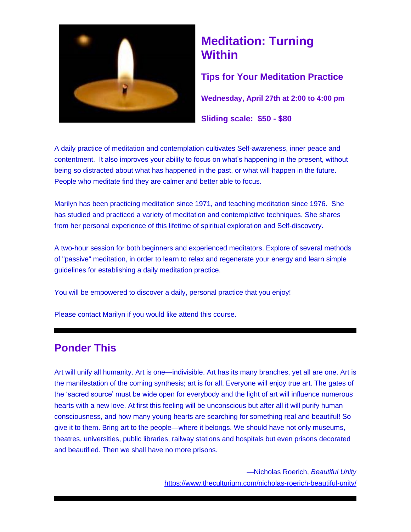

# **Meditation: Turning Within**

**Tips for Your Meditation Practice**

**Wednesday, April 27th at 2:00 to 4:00 pm**

**Sliding scale: \$50 - \$80**

A daily practice of meditation and contemplation cultivates Self-awareness, inner peace and contentment. It also improves your ability to focus on what's happening in the present, without being so distracted about what has happened in the past, or what will happen in the future. People who meditate find they are calmer and better able to focus.

Marilyn has been practicing meditation since 1971, and teaching meditation since 1976. She has studied and practiced a variety of meditation and contemplative techniques. She shares from her personal experience of this lifetime of spiritual exploration and Self-discovery.

A two-hour session for both beginners and experienced meditators. Explore of several methods of "passive" meditation, in order to learn to relax and regenerate your energy and learn simple guidelines for establishing a daily meditation practice.

You will be empowered to discover a daily, personal practice that you enjoy!

Please contact Marilyn if you would like attend this course.

## **Ponder This**

Art will unify all humanity. Art is one—indivisible. Art has its many branches, yet all are one. Art is the manifestation of the coming synthesis; art is for all. Everyone will enjoy true art. The gates of the 'sacred source' must be wide open for everybody and the light of art will influence numerous hearts with a new love. At first this feeling will be unconscious but after all it will purify human consciousness, and how many young hearts are searching for something real and beautiful! So give it to them. Bring art to the people—where it belongs. We should have not only museums, theatres, universities, public libraries, railway stations and hospitals but even prisons decorated and beautified. Then we shall have no more prisons.

> —Nicholas Roerich, *Beautiful Unity* <https://www.theculturium.com/nicholas-roerich-beautiful-unity/>